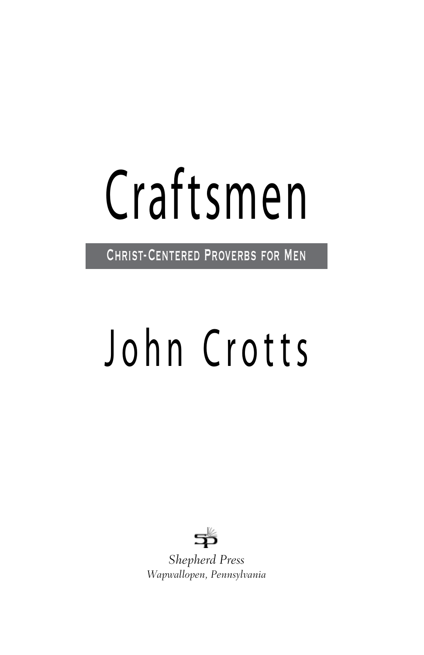# Craftsmen

Christ-Centered Proverbs for Men

## John Crotts



*Shepherd Press Wapwallopen, Pennsylvania*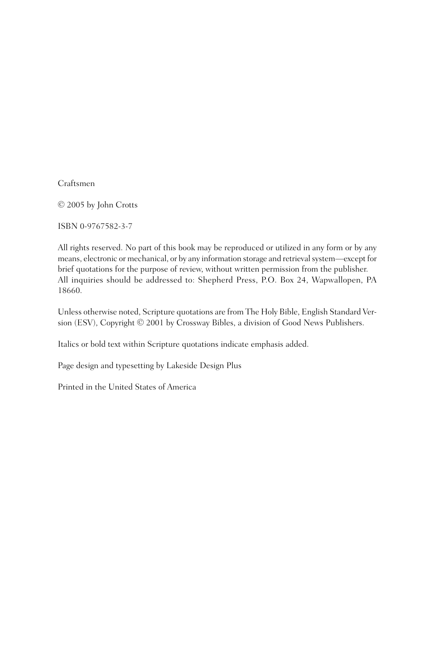Craftsmen

© 2005 by John Crotts

ISBN 0-9767582-3-7

All rights reserved. No part of this book may be reproduced or utilized in any form or by any means, electronic or mechanical, or by any information storage and retrieval system—except for brief quotations for the purpose of review, without written permission from the publisher. All inquiries should be addressed to: Shepherd Press, P.O. Box 24, Wapwallopen, PA 18660.

Unless otherwise noted, Scripture quotations are from The Holy Bible, English Standard Version (ESV), Copyright © 2001 by Crossway Bibles, a division of Good News Publishers.

Italics or bold text within Scripture quotations indicate emphasis added.

Page design and typesetting by Lakeside Design Plus

Printed in the United States of America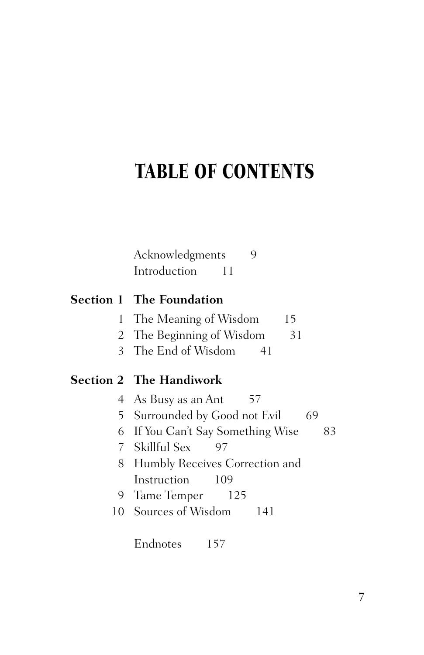## TABLE OF CONTENTS

|    | Acknowledgments<br>9<br>Introduction 11 |  |
|----|-----------------------------------------|--|
|    | <b>Section 1 The Foundation</b>         |  |
| 1. | The Meaning of Wisdom<br>15             |  |
| 2  | The Beginning of Wisdom<br>31           |  |
|    | 3 The End of Wisdom<br>41               |  |
|    | <b>Section 2 The Handiwork</b>          |  |
|    | 4 As Busy as an Ant<br>57               |  |
|    | 5 Surrounded by Good not Evil<br>69     |  |
|    | 6 If You Can't Say Something Wise<br>83 |  |
|    | 7 Skillful Sex<br>97                    |  |
|    | 8 Humbly Receives Correction and        |  |
|    | Instruction<br>109                      |  |
| 9. | Tame Temper 125                         |  |
|    | 10 Sources of Wisdom 141                |  |
|    | Endnotes<br>157                         |  |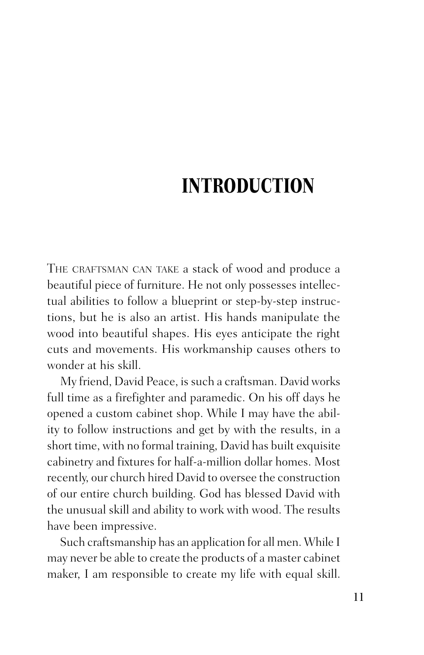## INTRODUCTION

THE CRAFTSMAN CAN TAKE a stack of wood and produce a beautiful piece of furniture. He not only possesses intellectual abilities to follow a blueprint or step-by-step instructions, but he is also an artist. His hands manipulate the wood into beautiful shapes. His eyes anticipate the right cuts and movements. His workmanship causes others to wonder at his skill.

My friend, David Peace, is such a craftsman. David works full time as a firefighter and paramedic. On his off days he opened a custom cabinet shop. While I may have the ability to follow instructions and get by with the results, in a short time, with no formal training, David has built exquisite cabinetry and fixtures for half-a-million dollar homes. Most recently, our church hired David to oversee the construction of our entire church building. God has blessed David with the unusual skill and ability to work with wood. The results have been impressive.

Such craftsmanship has an application for all men. While I may never be able to create the products of a master cabinet maker, I am responsible to create my life with equal skill.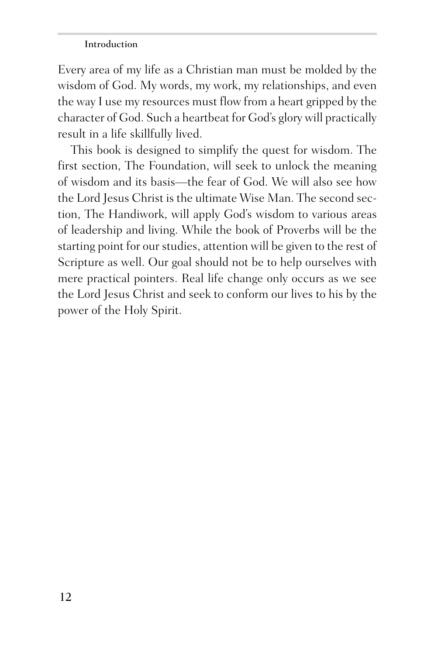#### Introduction

Every area of my life as a Christian man must be molded by the wisdom of God. My words, my work, my relationships, and even the way I use my resources must flow from a heart gripped by the character of God. Such a heartbeat for God's glory will practically result in a life skillfully lived.

This book is designed to simplify the quest for wisdom. The first section, The Foundation, will seek to unlock the meaning of wisdom and its basis—the fear of God. We will also see how the Lord Jesus Christ is the ultimate Wise Man. The second section, The Handiwork, will apply God's wisdom to various areas of leadership and living. While the book of Proverbs will be the starting point for our studies, attention will be given to the rest of Scripture as well. Our goal should not be to help ourselves with mere practical pointers. Real life change only occurs as we see the Lord Jesus Christ and seek to conform our lives to his by the power of the Holy Spirit.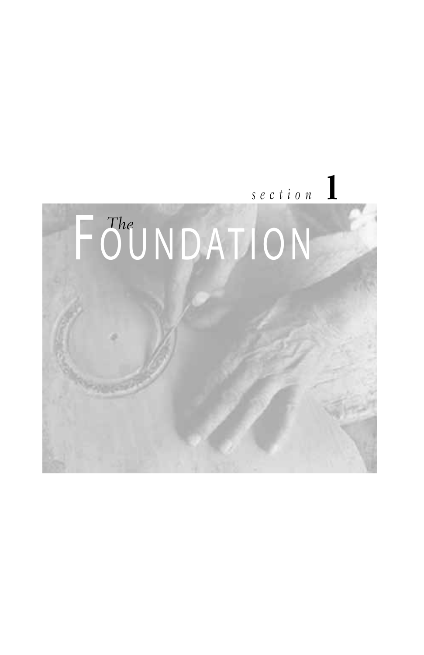

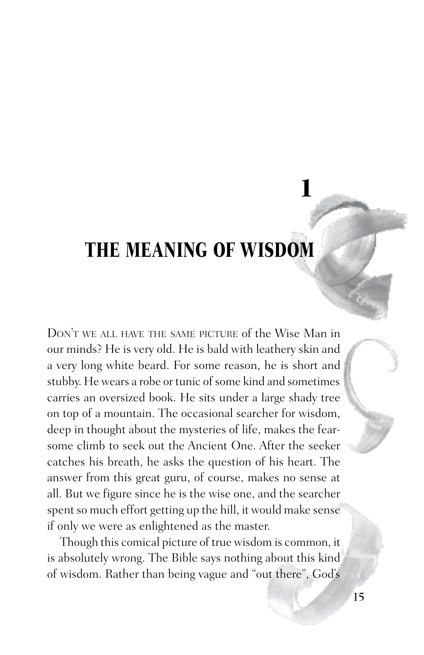## THE MEANING OF WISDOM

1

DON'T WE ALL HAVE THE SAME PICTURE of the Wise Man in our minds? He is very old. He is bald with leathery skin and a very long white beard. For some reason, he is short and stubby. He wears a robe or tunic of some kind and sometimes carries an oversized book. He sits under a large shady tree on top of a mountain. The occasional searcher for wisdom, deep in thought about the mysteries of life, makes the fearsome climb to seek out the Ancient One. After the seeker catches his breath, he asks the question of his heart. The answer from this great guru, of course, makes no sense at all. But we figure since he is the wise one, and the searcher spent so much effort getting up the hill, it would make sense if only we were as enlightened as the master.

Though this comical picture of true wisdom is common, it is absolutely wrong. The Bible says nothing about this kind of wisdom. Rather than being vague and "out there", God's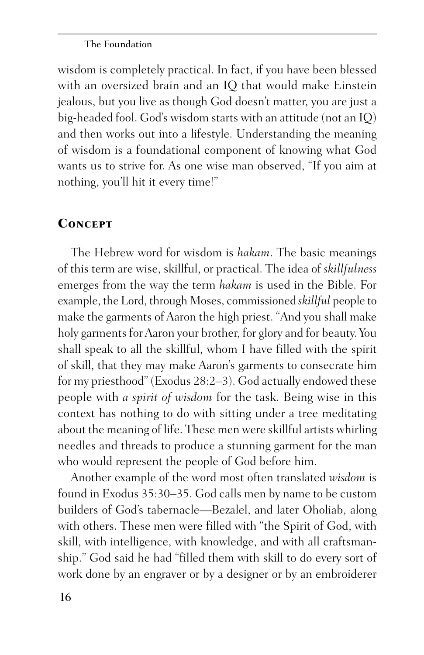wisdom is completely practical. In fact, if you have been blessed with an oversized brain and an IQ that would make Einstein jealous, but you live as though God doesn't matter, you are just a big-headed fool. God's wisdom starts with an attitude (not an IQ) and then works out into a lifestyle. Understanding the meaning of wisdom is a foundational component of knowing what God wants us to strive for. As one wise man observed, "If you aim at nothing, you'll hit it every time!"

#### **CONCEPT**

The Hebrew word for wisdom is *hakam*. The basic meanings of this term are wise, skillful, or practical. The idea of *skillfulness* emerges from the way the term *hakam* is used in the Bible. For example, the Lord, through Moses, commissioned *skillful* people to make the garments of Aaron the high priest. "And you shall make holy garments for Aaron your brother, for glory and for beauty. You shall speak to all the skillful, whom I have filled with the spirit of skill, that they may make Aaron's garments to consecrate him for my priesthood" (Exodus 28:2–3). God actually endowed these people with *a spirit of wisdom* for the task. Being wise in this context has nothing to do with sitting under a tree meditating about the meaning of life. These men were skillful artists whirling needles and threads to produce a stunning garment for the man who would represent the people of God before him.

Another example of the word most often translated *wisdom* is found in Exodus 35:30–35. God calls men by name to be custom builders of God's tabernacle—Bezalel, and later Oholiab, along with others. These men were filled with "the Spirit of God, with skill, with intelligence, with knowledge, and with all craftsmanship." God said he had "filled them with skill to do every sort of work done by an engraver or by a designer or by an embroiderer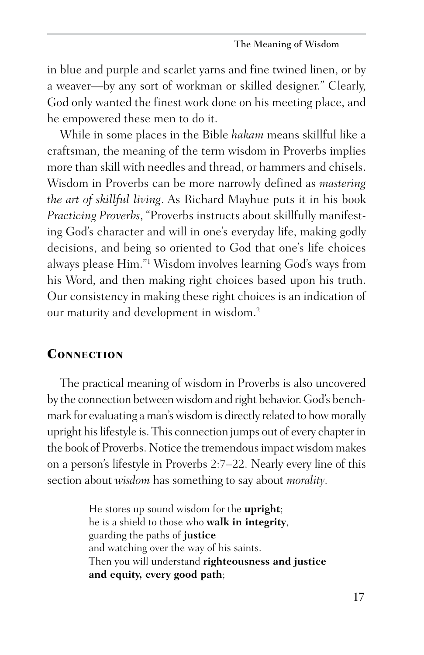in blue and purple and scarlet yarns and fine twined linen, or by a weaver—by any sort of workman or skilled designer." Clearly, God only wanted the finest work done on his meeting place, and he empowered these men to do it.

While in some places in the Bible *hakam* means skillful like a craftsman, the meaning of the term wisdom in Proverbs implies more than skill with needles and thread, or hammers and chisels. Wisdom in Proverbs can be more narrowly defined as *mastering the art of skillful living*. As Richard Mayhue puts it in his book *Practicing Proverbs*, "Proverbs instructs about skillfully manifesting God's character and will in one's everyday life, making godly decisions, and being so oriented to God that one's life choices always please Him."1 Wisdom involves learning God's ways from his Word, and then making right choices based upon his truth. Our consistency in making these right choices is an indication of our maturity and development in wisdom.2

#### **CONNECTION**

The practical meaning of wisdom in Proverbs is also uncovered by the connection between wisdom and right behavior. God's benchmark for evaluating a man's wisdom is directly related to how morally upright his lifestyle is. This connection jumps out of every chapter in the book of Proverbs. Notice the tremendous impact wisdom makes on a person's lifestyle in Proverbs 2:7–22. Nearly every line of this section about *wisdom* has something to say about *morality*.

> He stores up sound wisdom for the **upright**; he is a shield to those who **walk in integrity**, guarding the paths of **justice** and watching over the way of his saints. Then you will understand **righteousness and justice and equity, every good path**;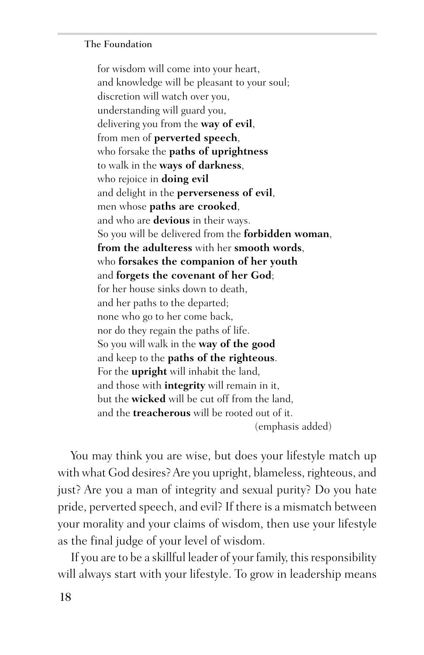for wisdom will come into your heart, and knowledge will be pleasant to your soul; discretion will watch over you, understanding will guard you, delivering you from the **way of evil**, from men of **perverted speech**, who forsake the **paths of uprightness** to walk in the **ways of darkness**, who rejoice in **doing evil** and delight in the **perverseness of evil**, men whose **paths are crooked**, and who are **devious** in their ways. So you will be delivered from the **forbidden woman**, **from the adulteress** with her **smooth words**, who **forsakes the companion of her youth** and **forgets the covenant of her God**; for her house sinks down to death, and her paths to the departed; none who go to her come back, nor do they regain the paths of life. So you will walk in the **way of the good** and keep to the **paths of the righteous**. For the **upright** will inhabit the land, and those with **integrity** will remain in it, but the **wicked** will be cut off from the land, and the **treacherous** will be rooted out of it. (emphasis added)

You may think you are wise, but does your lifestyle match up with what God desires? Are you upright, blameless, righteous, and just? Are you a man of integrity and sexual purity? Do you hate pride, perverted speech, and evil? If there is a mismatch between your morality and your claims of wisdom, then use your lifestyle as the final judge of your level of wisdom.

If you are to be a skillful leader of your family, this responsibility will always start with your lifestyle. To grow in leadership means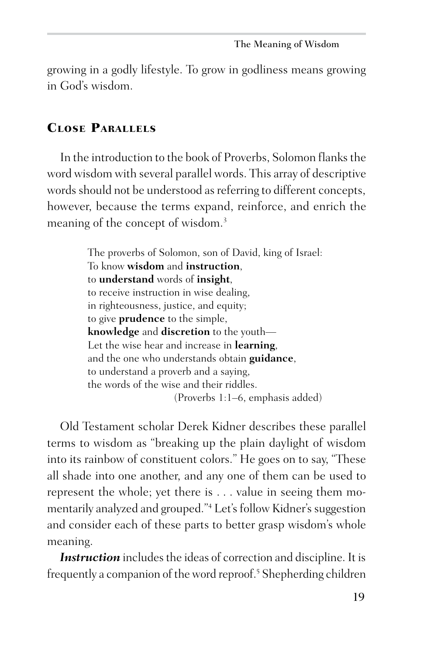growing in a godly lifestyle. To grow in godliness means growing in God's wisdom.

#### CLOSE PARALLELS

In the introduction to the book of Proverbs, Solomon flanks the word wisdom with several parallel words. This array of descriptive words should not be understood as referring to different concepts, however, because the terms expand, reinforce, and enrich the meaning of the concept of wisdom.3

> The proverbs of Solomon, son of David, king of Israel: To know **wisdom** and **instruction**, to **understand** words of **insight**, to receive instruction in wise dealing, in righteousness, justice, and equity; to give **prudence** to the simple, **knowledge** and **discretion** to the youth— Let the wise hear and increase in **learning**, and the one who understands obtain **guidance**, to understand a proverb and a saying, the words of the wise and their riddles. (Proverbs 1:1–6, emphasis added)

Old Testament scholar Derek Kidner describes these parallel terms to wisdom as "breaking up the plain daylight of wisdom into its rainbow of constituent colors." He goes on to say, "These all shade into one another, and any one of them can be used to represent the whole; yet there is . . . value in seeing them momentarily analyzed and grouped."4 Let's follow Kidner's suggestion and consider each of these parts to better grasp wisdom's whole meaning.

**Instruction** includes the ideas of correction and discipline. It is frequently a companion of the word reproof.5 Shepherding children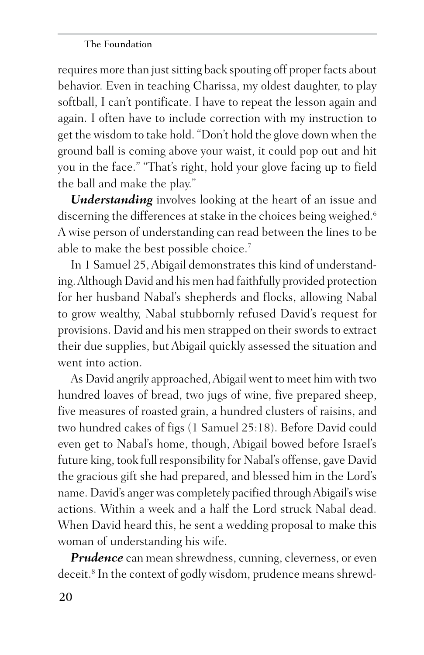requires more than just sitting back spouting off proper facts about behavior. Even in teaching Charissa, my oldest daughter, to play softball, I can't pontificate. I have to repeat the lesson again and again. I often have to include correction with my instruction to get the wisdom to take hold. "Don't hold the glove down when the ground ball is coming above your waist, it could pop out and hit you in the face." "That's right, hold your glove facing up to field the ball and make the play."

*Understanding* involves looking at the heart of an issue and discerning the differences at stake in the choices being weighed.<sup>6</sup> A wise person of understanding can read between the lines to be able to make the best possible choice.7

In 1 Samuel 25, Abigail demonstrates this kind of understanding. Although David and his men had faithfully provided protection for her husband Nabal's shepherds and flocks, allowing Nabal to grow wealthy, Nabal stubbornly refused David's request for provisions. David and his men strapped on their swords to extract their due supplies, but Abigail quickly assessed the situation and went into action.

As David angrily approached, Abigail went to meet him with two hundred loaves of bread, two jugs of wine, five prepared sheep, five measures of roasted grain, a hundred clusters of raisins, and two hundred cakes of figs (1 Samuel 25:18). Before David could even get to Nabal's home, though, Abigail bowed before Israel's future king, took full responsibility for Nabal's offense, gave David the gracious gift she had prepared, and blessed him in the Lord's name. David's anger was completely pacified through Abigail's wise actions. Within a week and a half the Lord struck Nabal dead. When David heard this, he sent a wedding proposal to make this woman of understanding his wife.

**Prudence** can mean shrewdness, cunning, cleverness, or even deceit.8 In the context of godly wisdom, prudence means shrewd-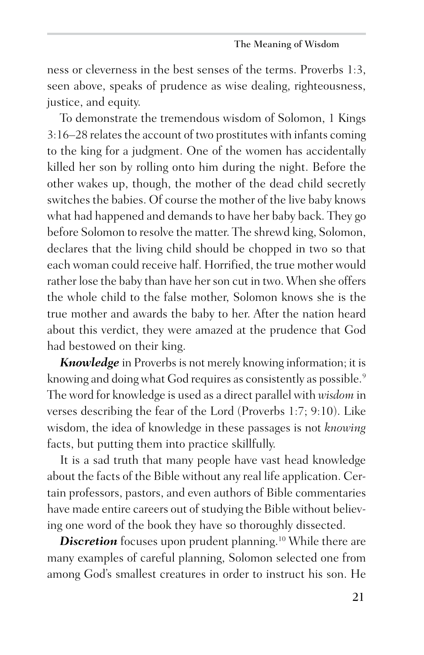ness or cleverness in the best senses of the terms. Proverbs 1:3, seen above, speaks of prudence as wise dealing, righteousness, justice, and equity.

To demonstrate the tremendous wisdom of Solomon, 1 Kings 3:16–28 relates the account of two prostitutes with infants coming to the king for a judgment. One of the women has accidentally killed her son by rolling onto him during the night. Before the other wakes up, though, the mother of the dead child secretly switches the babies. Of course the mother of the live baby knows what had happened and demands to have her baby back. They go before Solomon to resolve the matter. The shrewd king, Solomon, declares that the living child should be chopped in two so that each woman could receive half. Horrified, the true mother would rather lose the baby than have her son cut in two. When she offers the whole child to the false mother, Solomon knows she is the true mother and awards the baby to her. After the nation heard about this verdict, they were amazed at the prudence that God had bestowed on their king.

*Knowledge* in Proverbs is not merely knowing information; it is knowing and doing what God requires as consistently as possible.<sup>9</sup> The word for knowledge is used as a direct parallel with *wisdom* in verses describing the fear of the Lord (Proverbs 1:7; 9:10). Like wisdom, the idea of knowledge in these passages is not *knowing* facts, but putting them into practice skillfully.

It is a sad truth that many people have vast head knowledge about the facts of the Bible without any real life application. Certain professors, pastors, and even authors of Bible commentaries have made entire careers out of studying the Bible without believing one word of the book they have so thoroughly dissected.

**Discretion** focuses upon prudent planning.<sup>10</sup> While there are many examples of careful planning, Solomon selected one from among God's smallest creatures in order to instruct his son. He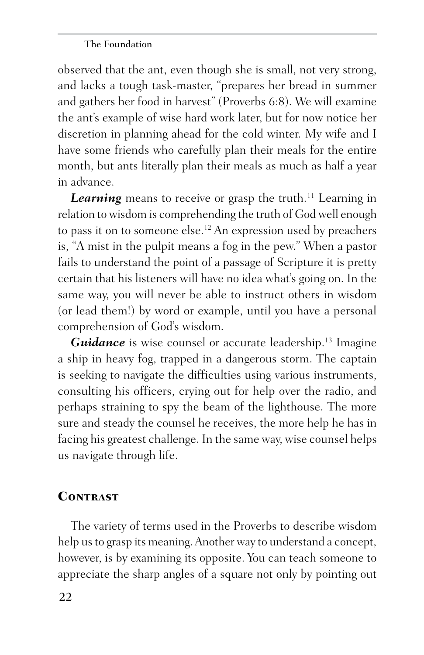observed that the ant, even though she is small, not very strong, and lacks a tough task-master, "prepares her bread in summer and gathers her food in harvest" (Proverbs 6:8). We will examine the ant's example of wise hard work later, but for now notice her discretion in planning ahead for the cold winter. My wife and I have some friends who carefully plan their meals for the entire month, but ants literally plan their meals as much as half a year in advance.

Learning means to receive or grasp the truth.<sup>11</sup> Learning in relation to wisdom is comprehending the truth of God well enough to pass it on to someone else.<sup>12</sup> An expression used by preachers is, "A mist in the pulpit means a fog in the pew." When a pastor fails to understand the point of a passage of Scripture it is pretty certain that his listeners will have no idea what's going on. In the same way, you will never be able to instruct others in wisdom (or lead them!) by word or example, until you have a personal comprehension of God's wisdom.

*Guidance* is wise counsel or accurate leadership.<sup>13</sup> Imagine a ship in heavy fog, trapped in a dangerous storm. The captain is seeking to navigate the difficulties using various instruments, consulting his officers, crying out for help over the radio, and perhaps straining to spy the beam of the lighthouse. The more sure and steady the counsel he receives, the more help he has in facing his greatest challenge. In the same way, wise counsel helps us navigate through life.

#### CONTRAST

The variety of terms used in the Proverbs to describe wisdom help us to grasp its meaning. Another way to understand a concept, however, is by examining its opposite. You can teach someone to appreciate the sharp angles of a square not only by pointing out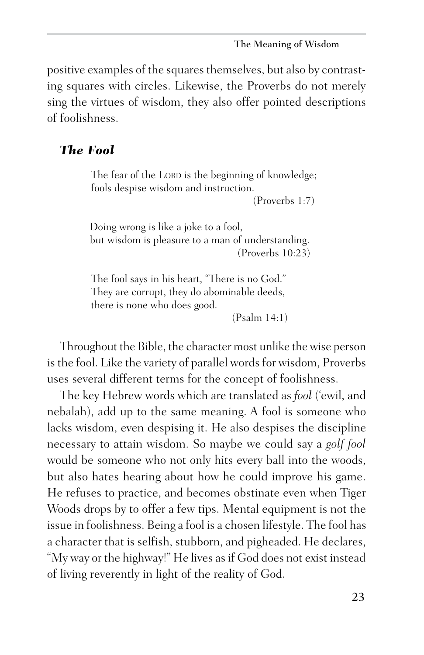positive examples of the squares themselves, but also by contrasting squares with circles. Likewise, the Proverbs do not merely sing the virtues of wisdom, they also offer pointed descriptions of foolishness.

#### *The Fool*

The fear of the LORD is the beginning of knowledge; fools despise wisdom and instruction.

(Proverbs 1:7)

Doing wrong is like a joke to a fool, but wisdom is pleasure to a man of understanding. (Proverbs 10:23)

The fool says in his heart, "There is no God." They are corrupt, they do abominable deeds, there is none who does good.

(Psalm 14:1)

Throughout the Bible, the character most unlike the wise person is the fool. Like the variety of parallel words for wisdom, Proverbs uses several different terms for the concept of foolishness.

The key Hebrew words which are translated as *fool* ('ewil, and nebalah), add up to the same meaning. A fool is someone who lacks wisdom, even despising it. He also despises the discipline necessary to attain wisdom. So maybe we could say a *golf fool* would be someone who not only hits every ball into the woods, but also hates hearing about how he could improve his game. He refuses to practice, and becomes obstinate even when Tiger Woods drops by to offer a few tips. Mental equipment is not the issue in foolishness. Being a fool is a chosen lifestyle. The fool has a character that is selfish, stubborn, and pigheaded. He declares, "My way or the highway!" He lives as if God does not exist instead of living reverently in light of the reality of God.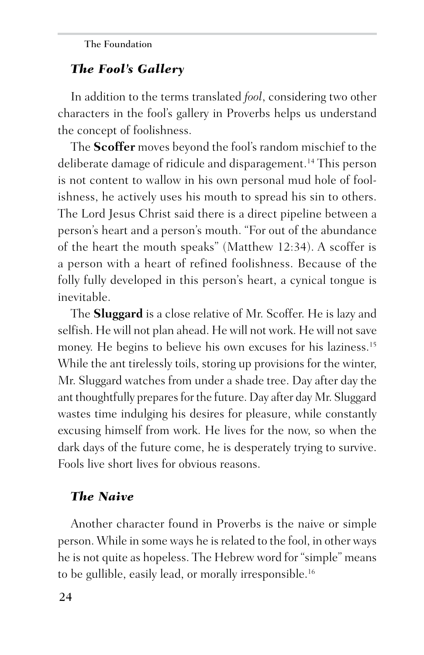#### *The Fool's Gallery*

In addition to the terms translated *fool*, considering two other characters in the fool's gallery in Proverbs helps us understand the concept of foolishness.

The **Scoffer** moves beyond the fool's random mischief to the deliberate damage of ridicule and disparagement.<sup>14</sup> This person is not content to wallow in his own personal mud hole of foolishness, he actively uses his mouth to spread his sin to others. The Lord Jesus Christ said there is a direct pipeline between a person's heart and a person's mouth. "For out of the abundance of the heart the mouth speaks" (Matthew 12:34). A scoffer is a person with a heart of refined foolishness. Because of the folly fully developed in this person's heart, a cynical tongue is inevitable.

The **Sluggard** is a close relative of Mr. Scoffer. He is lazy and selfish. He will not plan ahead. He will not work. He will not save money. He begins to believe his own excuses for his laziness.<sup>15</sup> While the ant tirelessly toils, storing up provisions for the winter, Mr. Sluggard watches from under a shade tree. Day after day the ant thoughtfully prepares for the future. Day after day Mr. Sluggard wastes time indulging his desires for pleasure, while constantly excusing himself from work. He lives for the now, so when the dark days of the future come, he is desperately trying to survive. Fools live short lives for obvious reasons.

#### *The Naive*

Another character found in Proverbs is the naive or simple person. While in some ways he is related to the fool, in other ways he is not quite as hopeless. The Hebrew word for "simple" means to be gullible, easily lead, or morally irresponsible.16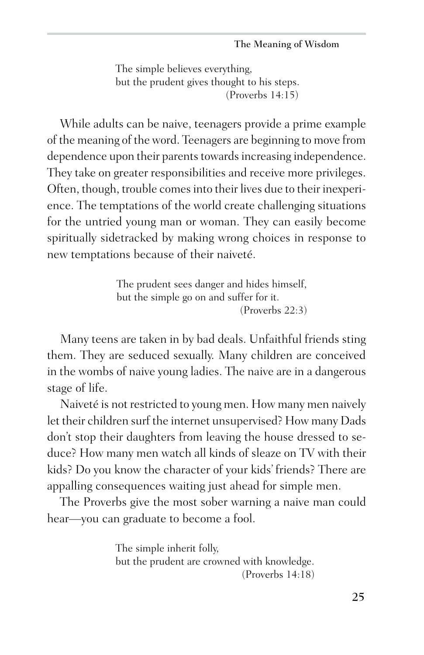The simple believes everything, but the prudent gives thought to his steps. (Proverbs 14:15)

While adults can be naive, teenagers provide a prime example of the meaning of the word. Teenagers are beginning to move from dependence upon their parents towards increasing independence. They take on greater responsibilities and receive more privileges. Often, though, trouble comes into their lives due to their inexperience. The temptations of the world create challenging situations for the untried young man or woman. They can easily become spiritually sidetracked by making wrong choices in response to new temptations because of their naiveté.

> The prudent sees danger and hides himself, but the simple go on and suffer for it. (Proverbs 22:3)

Many teens are taken in by bad deals. Unfaithful friends sting them. They are seduced sexually. Many children are conceived in the wombs of naive young ladies. The naive are in a dangerous stage of life.

Naiveté is not restricted to young men. How many men naively let their children surf the internet unsupervised? How many Dads don't stop their daughters from leaving the house dressed to seduce? How many men watch all kinds of sleaze on TV with their kids? Do you know the character of your kids' friends? There are appalling consequences waiting just ahead for simple men.

The Proverbs give the most sober warning a naive man could hear—you can graduate to become a fool.

> The simple inherit folly, but the prudent are crowned with knowledge. (Proverbs 14:18)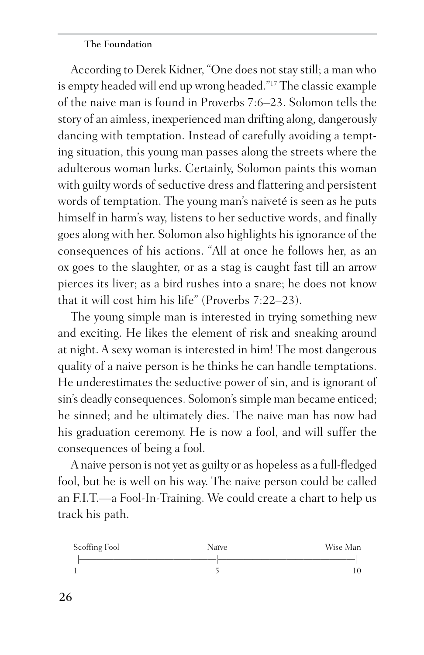According to Derek Kidner, "One does not stay still; a man who is empty headed will end up wrong headed."17 The classic example of the naive man is found in Proverbs 7:6–23. Solomon tells the story of an aimless, inexperienced man drifting along, dangerously dancing with temptation. Instead of carefully avoiding a tempting situation, this young man passes along the streets where the adulterous woman lurks. Certainly, Solomon paints this woman with guilty words of seductive dress and flattering and persistent words of temptation. The young man's naiveté is seen as he puts himself in harm's way, listens to her seductive words, and finally goes along with her. Solomon also highlights his ignorance of the consequences of his actions. "All at once he follows her, as an ox goes to the slaughter, or as a stag is caught fast till an arrow pierces its liver; as a bird rushes into a snare; he does not know that it will cost him his life" (Proverbs 7:22–23).

The young simple man is interested in trying something new and exciting. He likes the element of risk and sneaking around at night. A sexy woman is interested in him! The most dangerous quality of a naive person is he thinks he can handle temptations. He underestimates the seductive power of sin, and is ignorant of sin's deadly consequences. Solomon's simple man became enticed; he sinned; and he ultimately dies. The naive man has now had his graduation ceremony. He is now a fool, and will suffer the consequences of being a fool.

A naive person is not yet as guilty or as hopeless as a full-fledged fool, but he is well on his way. The naive person could be called an F.I.T.—a Fool-In-Training. We could create a chart to help us track his path.

| Scoffing Fool | Naïve | Wise Man |
|---------------|-------|----------|
|               |       |          |
|               |       |          |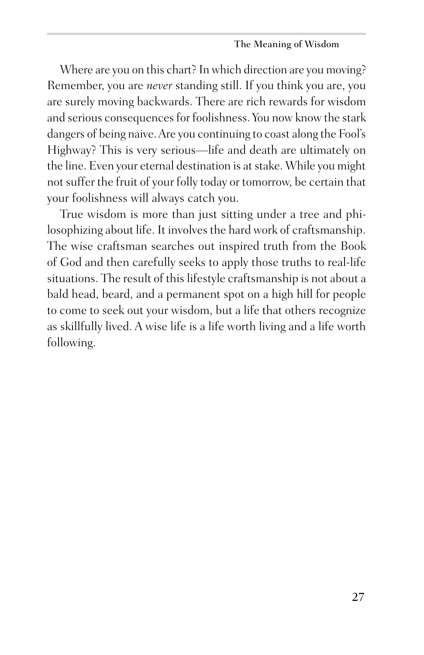Where are you on this chart? In which direction are you moving? Remember, you are *never* standing still. If you think you are, you are surely moving backwards. There are rich rewards for wisdom and serious consequences for foolishness. You now know the stark dangers of being naive. Are you continuing to coast along the Fool's Highway? This is very serious—life and death are ultimately on the line. Even your eternal destination is at stake. While you might not suffer the fruit of your folly today or tomorrow, be certain that your foolishness will always catch you.

True wisdom is more than just sitting under a tree and philosophizing about life. It involves the hard work of craftsmanship. The wise craftsman searches out inspired truth from the Book of God and then carefully seeks to apply those truths to real-life situations. The result of this lifestyle craftsmanship is not about a bald head, beard, and a permanent spot on a high hill for people to come to seek out your wisdom, but a life that others recognize as skillfully lived. A wise life is a life worth living and a life worth following.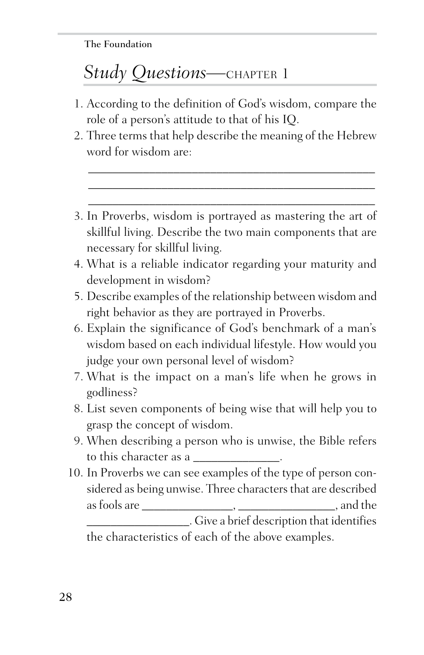## *Study Questions—*CHAPTER 1

- 1. According to the definition of God's wisdom, compare the role of a person's attitude to that of his IQ.
- 2. Three terms that help describe the meaning of the Hebrew word for wisdom are:

 \_\_\_\_\_\_\_\_\_\_\_\_\_\_\_\_\_\_\_\_\_\_\_\_\_\_\_\_\_\_\_\_\_\_\_\_\_\_\_\_\_\_\_\_\_\_\_ \_\_\_\_\_\_\_\_\_\_\_\_\_\_\_\_\_\_\_\_\_\_\_\_\_\_\_\_\_\_\_\_\_\_\_\_\_\_\_\_\_\_\_\_\_\_\_ \_\_\_\_\_\_\_\_\_\_\_\_\_\_\_\_\_\_\_\_\_\_\_\_\_\_\_\_\_\_\_\_\_\_\_\_\_\_\_\_\_\_\_\_\_\_\_

- 3. In Proverbs, wisdom is portrayed as mastering the art of skillful living. Describe the two main components that are necessary for skillful living.
- 4. What is a reliable indicator regarding your maturity and development in wisdom?
- 5. Describe examples of the relationship between wisdom and right behavior as they are portrayed in Proverbs.
- 6. Explain the significance of God's benchmark of a man's wisdom based on each individual lifestyle. How would you judge your own personal level of wisdom?
- 7. What is the impact on a man's life when he grows in godliness?
- 8. List seven components of being wise that will help you to grasp the concept of wisdom.
- 9. When describing a person who is unwise, the Bible refers to this character as a \_\_\_\_\_\_\_\_\_\_\_\_\_\_.
- 10. In Proverbs we can see examples of the type of person considered as being unwise. Three characters that are described as fools are \_\_\_\_\_\_\_\_\_\_\_\_\_\_\_, \_\_\_\_\_\_\_\_\_\_\_\_\_\_\_\_, and the **EXECUTE:** Give a brief description that identifies the characteristics of each of the above examples.